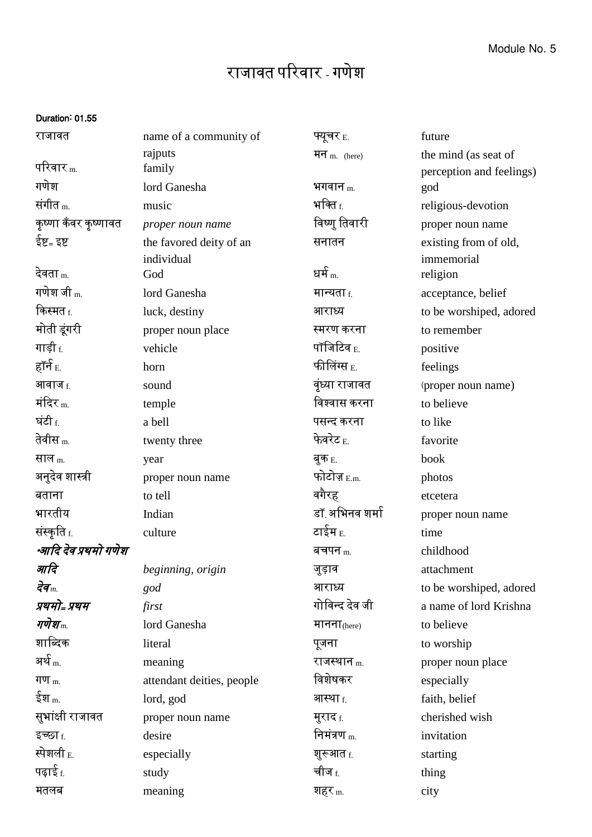## राजावत पररवार - गणेश

## Duration: 01.55

| राजावत               | name of a community of    | फ्यूचर <sub>E.</sub>   | future                   |
|----------------------|---------------------------|------------------------|--------------------------|
|                      | rajputs                   | मन $m$ . (here)        | the mind (as seat of     |
| परिवार $_{\rm m.}$   | family                    |                        | perception and feelings) |
| गणेश                 | lord Ganesha              | भगवान $_{\rm m.}$      | god                      |
| संगीत $_m$           | music                     | भक्ति $_{\rm f.}$      | religious-devotion       |
| कृष्णा कँवर कृष्णावत | proper noun name          | विष्णु तिवारी          | proper noun name         |
| ईष्ट= इष्ट           | the favored deity of an   | सनातन                  | existing from of old,    |
|                      | individual                |                        | immemorial               |
| देवता <sub>m.</sub>  | God                       | धर्म $_{\rm m.}$       | religion                 |
| गणेश जी m.           | lord Ganesha              | मान्यता $_{\rm f.}$    | acceptance, belief       |
| किस्मत <sub>f.</sub> | luck, destiny             | आराध्य                 | to be worshiped, adored  |
| मोती डूंगरी          | proper noun place         | स्मरण करना             | to remember              |
| गाड़ी f.             | vehicle                   | पॉजिटिव $_{\rm E.}$    | positive                 |
| हॉर्न <sub>E.</sub>  | horn                      | फीलिंग्स <sub>E.</sub> | feelings                 |
| <b>आवाज</b> f.       | sound                     | वृंध्या राजावत         | (proper noun name)       |
| मंदिर $_{\rm m}$     | temple                    | विश्वास करना           | to believe               |
| घंटी <sub>f.</sub>   | a bell                    | पसन्द करना             | to like                  |
| तेवीस <sub>m.</sub>  | twenty three              | फेवरेट $_{\rm E.}$     | favorite                 |
| साल m.               | year                      | बुक <sub>E.</sub>      | book                     |
| अनुदेव शास्त्री      | proper noun name          | फोटोज़ $_{\rm E.m.}$   | photos                   |
| बताना                | to tell                   | वगैरह                  | etcetera                 |
| भारतीय               | Indian                    | डॉ अभिनव शर्मा         | proper noun name         |
| संस्कृति <u>f</u> .  | culture                   | टाईम E.                | time                     |
| *आदि देव प्रथमो गणेश |                           | बचपन $_m$              | childhood                |
| आदि                  | beginning, origin         | जुड़ाव                 | attachment               |
| देव $_m$             | god                       | आराध्य                 | to be worshiped, adored  |
| प्रथमो= प्रथम        | first                     | गोविन्द देव जी         | a name of lord Krishna   |
| गणेश $_m$            | lord Ganesha              | मानना $_{(here)}$      | to believe               |
| शाब्दिक              | literal                   | पूजना                  | to worship               |
| अर्थ $_{\rm m.}$     | meaning                   | राजस्थान $_{\rm m.}$   | proper noun place        |
| गण $m$ .             | attendant deities, people | विशेषकर                | especially               |
| ईश $_{\rm m}$        | lord, god                 | आस्था <sub>f.</sub>    | faith, belief            |
| सुभांक्षी राजावत     | proper noun name          | मुराद <sub>f.</sub>    | cherished wish           |
| इच्छा f.             | desire                    | निमंत्रण $_{\rm m}$    | invitation               |
| स्पेशली E.           | especially                | शुरूआत f.              | starting                 |
| पढ़ाई <sub>f.</sub>  | study                     | चीज <sub>f.</sub>      | thing                    |
| मतलब                 | meaning                   | शहर <sub>m.</sub>      | city                     |